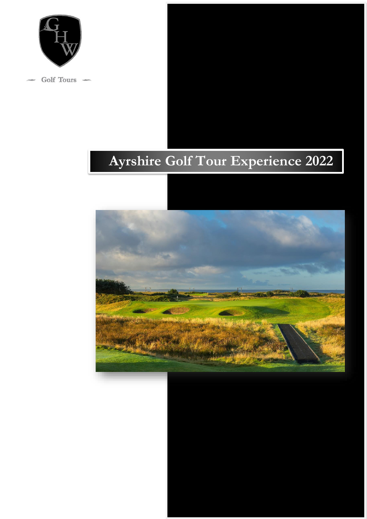

Golf Tours –

# **Ayrshire Golf Tour Experience 2022**

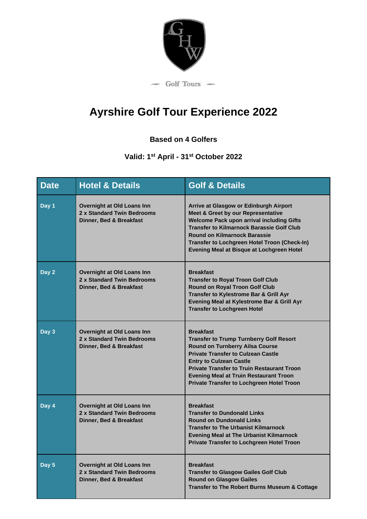

# **Ayrshire Golf Tour Experience 2022**

## **Based on 4 Golfers**

### **Valid: 1 st April - 31st October 2022**

| <b>Date</b> | <b>Hotel &amp; Details</b>                                                                 | <b>Golf &amp; Details</b>                                                                                                                                                                                                                                                                                                                             |
|-------------|--------------------------------------------------------------------------------------------|-------------------------------------------------------------------------------------------------------------------------------------------------------------------------------------------------------------------------------------------------------------------------------------------------------------------------------------------------------|
| Day 1       | <b>Overnight at Old Loans Inn</b><br>2 x Standard Twin Bedrooms<br>Dinner, Bed & Breakfast | Arrive at Glasgow or Edinburgh Airport<br><b>Meet &amp; Greet by our Representative</b><br><b>Welcome Pack upon arrival including Gifts</b><br><b>Transfer to Kilmarnock Barassie Golf Club</b><br><b>Round on Kilmarnock Barassie</b><br>Transfer to Lochgreen Hotel Troon (Check-In)<br>Evening Meal at Bisque at Lochgreen Hotel                   |
| Day 2       | Overnight at Old Loans Inn<br>2 x Standard Twin Bedrooms<br>Dinner, Bed & Breakfast        | <b>Breakfast</b><br><b>Transfer to Royal Troon Golf Club</b><br><b>Round on Royal Troon Golf Club</b><br>Transfer to Kylestrome Bar & Grill Ayr<br>Evening Meal at Kylestrome Bar & Grill Ayr<br><b>Transfer to Lochgreen Hotel</b>                                                                                                                   |
| Day 3       | <b>Overnight at Old Loans Inn</b><br>2 x Standard Twin Bedrooms<br>Dinner, Bed & Breakfast | <b>Breakfast</b><br><b>Transfer to Trump Turnberry Golf Resort</b><br><b>Round on Turnberry Ailsa Course</b><br><b>Private Transfer to Culzean Castle</b><br><b>Entry to Culzean Castle</b><br><b>Private Transfer to Truin Restaurant Troon</b><br><b>Evening Meal at Truin Restaurant Troon</b><br><b>Private Transfer to Lochgreen Hotel Troon</b> |
| Day 4       | Overnight at Old Loans Inn<br>2 x Standard Twin Bedrooms<br>Dinner, Bed & Breakfast        | <b>Breakfast</b><br><b>Transfer to Dundonald Links</b><br><b>Round on Dundonald Links</b><br><b>Transfer to The Urbanist Kilmarnock</b><br><b>Evening Meal at The Urbanist Kilmarnock</b><br><b>Private Transfer to Lochgreen Hotel Troon</b>                                                                                                         |
| Day 5       | <b>Overnight at Old Loans Inn</b><br>2 x Standard Twin Bedrooms<br>Dinner, Bed & Breakfast | <b>Breakfast</b><br><b>Transfer to Glasgow Gailes Golf Club</b><br><b>Round on Glasgow Gailes</b><br><b>Transfer to The Robert Burns Museum &amp; Cottage</b>                                                                                                                                                                                         |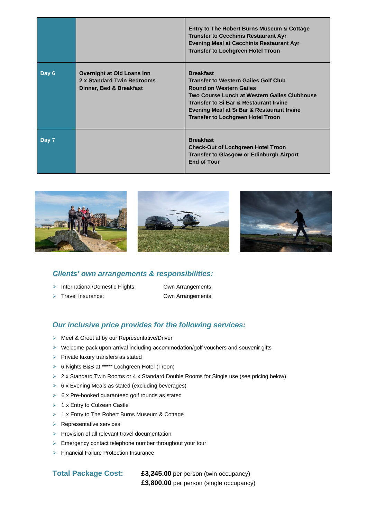|       |                                                                                     | <b>Entry to The Robert Burns Museum &amp; Cottage</b><br><b>Transfer to Cecchinis Restaurant Ayr</b><br><b>Evening Meal at Cecchinis Restaurant Ayr</b><br><b>Transfer to Lochgreen Hotel Troon</b>                                                                                              |
|-------|-------------------------------------------------------------------------------------|--------------------------------------------------------------------------------------------------------------------------------------------------------------------------------------------------------------------------------------------------------------------------------------------------|
| Day 6 | Overnight at Old Loans Inn<br>2 x Standard Twin Bedrooms<br>Dinner, Bed & Breakfast | <b>Breakfast</b><br><b>Transfer to Western Gailes Golf Club</b><br><b>Round on Western Gailes</b><br>Two Course Lunch at Western Gailes Clubhouse<br><b>Transfer to Si Bar &amp; Restaurant Irvine</b><br>Evening Meal at Si Bar & Restaurant Irvine<br><b>Transfer to Lochgreen Hotel Troon</b> |
| Day 7 |                                                                                     | <b>Breakfast</b><br><b>Check-Out of Lochgreen Hotel Troon</b><br><b>Transfer to Glasgow or Edinburgh Airport</b><br><b>End of Tour</b>                                                                                                                                                           |







#### *Clients' own arrangements & responsibilities:*

- ➢ International/Domestic Flights: Own Arrangements
- 

➢ Travel Insurance: Own Arrangements

#### *Our inclusive price provides for the following services:*

- ➢ Meet & Greet at by our Representative/Driver
- $\triangleright$  Welcome pack upon arrival including accommodation/golf vouchers and souvenir gifts
- ➢ Private luxury transfers as stated
- ➢ 6 Nights B&B at \*\*\*\*\* Lochgreen Hotel (Troon)
- ➢ 2 x Standard Twin Rooms or 4 x Standard Double Rooms for Single use (see pricing below)
- ➢ 6 x Evening Meals as stated (excluding beverages)
- ➢ 6 x Pre-booked guaranteed golf rounds as stated
- ➢ 1 x Entry to Culzean Castle
- ➢ 1 x Entry to The Robert Burns Museum & Cottage
- ➢ Representative services
- ➢ Provision of all relevant travel documentation
- ➢ Emergency contact telephone number throughout your tour
- ➢ Financial Failure Protection Insurance

#### **Total Package Cost: £3,245.00** per person (twin occupancy)

**£3,800.00** per person (single occupancy)